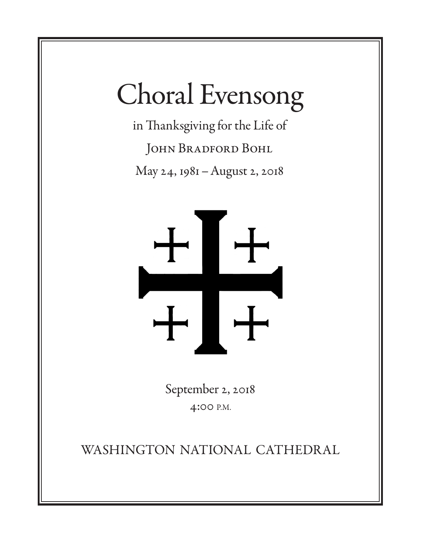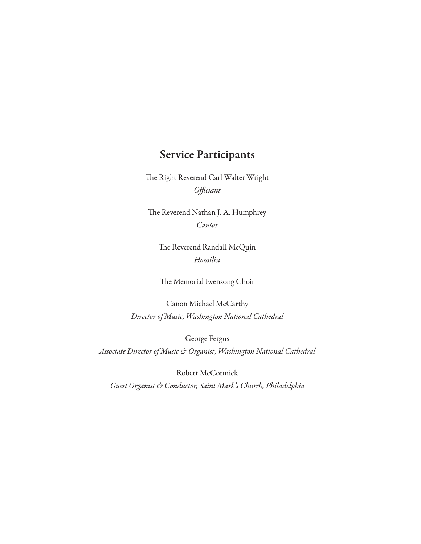# Service Participants

The Right Reverend Carl Walter Wright *Officiant* 

The Reverend Nathan J. A. Humphrey *Cantor* 

The Reverend Randall McQuin *Homilist*

The Memorial Evensong Choir

Canon Michael McCarthy *Director of Music, Washington National Cathedral*

George Fergus *Associate Director of Music & Organist, Washington National Cathedral*

Robert McCormick *Guest Organist & Conductor, Saint Mark's Church, Philadelphia*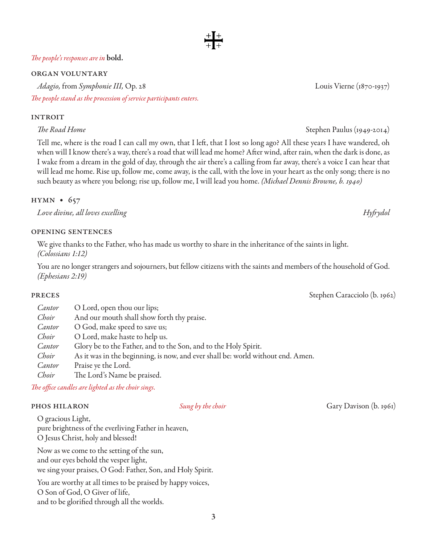# *The people's responses are in* bold.

### organ voluntary

*Adagio,* from *Symphonie III,* Op. 28 Louis Vierne (1870-1937)

*The people stand as the procession of service participants enters.* 

# **INTROIT**

*The Road Home* Stephen Paulus (1949-2014)

Tell me, where is the road I can call my own, that I left, that I lost so long ago? All these years I have wandered, oh when will I know there's a way, there's a road that will lead me home? After wind, after rain, when the dark is done, as I wake from a dream in the gold of day, through the air there's a calling from far away, there's a voice I can hear that will lead me home. Rise up, follow me, come away, is the call, with the love in your heart as the only song; there is no such beauty as where you belong; rise up, follow me, I will lead you home. *(Michael Dennis Browne, b. 1940)*

### HYMN  $\cdot$  657

*Love divine, all loves excelling Hyfrydol* 

### opening sentences

We give thanks to the Father, who has made us worthy to share in the inheritance of the saints in light. *(Colossians 1:12)*

You are no longer strangers and sojourners, but fellow citizens with the saints and members of the household of God. *(Ephesians 2:19)*

### **PRECES** Stephen Caracciolo (b. 1962)

| Cantor | O Lord, open thou our lips;                                                     |
|--------|---------------------------------------------------------------------------------|
| Choir  | And our mouth shall show forth thy praise.                                      |
| Cantor | O God, make speed to save us;                                                   |
| Choir  | O Lord, make haste to help us.                                                  |
| Cantor | Glory be to the Father, and to the Son, and to the Holy Spirit.                 |
| Choir  | As it was in the beginning, is now, and ever shall be: world without end. Amen. |
| Cantor | Praise ye the Lord.                                                             |
| Choir  | The Lord's Name be praised.                                                     |

*The office candles are lighted as the choir sings.*

O gracious Light, pure brightness of the everliving Father in heaven, O Jesus Christ, holy and blessed!

Now as we come to the setting of the sun, and our eyes behold the vesper light, we sing your praises, O God: Father, Son, and Holy Spirit.

You are worthy at all times to be praised by happy voices, O Son of God, O Giver of life, and to be glorified through all the worlds.

PHOS HILARON *Sung by the choir Gary Davison* (b. 1961)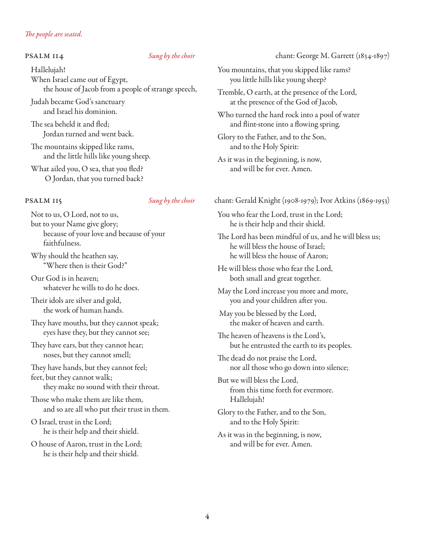# *The people are seated.*

Hallelujah! When Israel came out of Egypt, the house of Jacob from a people of strange speech,

Judah became God's sanctuary and Israel his dominion.

The sea beheld it and fled; Jordan turned and went back.

The mountains skipped like rams, and the little hills like young sheep.

What ailed you, O sea, that you fled? O Jordan, that you turned back?

Not to us, O Lord, not to us, but to your Name give glory; because of your love and because of your faithfulness.

Why should the heathen say, "Where then is their God?"

Our God is in heaven; whatever he wills to do he does.

Their idols are silver and gold, the work of human hands.

They have mouths, but they cannot speak; eyes have they, but they cannot see;

They have ears, but they cannot hear; noses, but they cannot smell;

They have hands, but they cannot feel; feet, but they cannot walk;

they make no sound with their throat.

- Those who make them are like them, and so are all who put their trust in them.
- O Israel, trust in the Lord; he is their help and their shield.

O house of Aaron, trust in the Lord; he is their help and their shield.

psalm 114 *Sung by the choir* chant: George M. Garrett (1834-1897)

You mountains, that you skipped like rams? you little hills like young sheep?

Tremble, O earth, at the presence of the Lord, at the presence of the God of Jacob,

Who turned the hard rock into a pool of water and flint-stone into a flowing spring.

Glory to the Father, and to the Son, and to the Holy Spirit:

As it was in the beginning, is now, and will be for ever. Amen.

psalm 115 *Sung by the choir* chant: Gerald Knight (1908-1979); Ivor Atkins (1869-1953)

You who fear the Lord, trust in the Lord; he is their help and their shield.

The Lord has been mindful of us, and he will bless us; he will bless the house of Israel; he will bless the house of Aaron;

He will bless those who fear the Lord, both small and great together.

May the Lord increase you more and more, you and your children after you.

 May you be blessed by the Lord, the maker of heaven and earth.

The heaven of heavens is the Lord's, but he entrusted the earth to its peoples.

The dead do not praise the Lord, nor all those who go down into silence;

But we will bless the Lord, from this time forth for evermore. Hallelujah!

Glory to the Father, and to the Son, and to the Holy Spirit:

As it was in the beginning, is now, and will be for ever. Amen.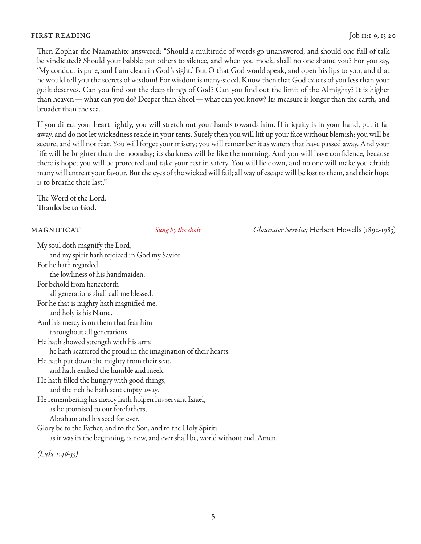# first reading Job 11:1-9, 13-20

Then Zophar the Naamathite answered: "Should a multitude of words go unanswered, and should one full of talk be vindicated? Should your babble put others to silence, and when you mock, shall no one shame you? For you say, 'My conduct is pure, and I am clean in God's sight.' But O that God would speak, and open his lips to you, and that he would tell you the secrets of wisdom! For wisdom is many-sided. Know then that God exacts of you less than your guilt deserves. Can you find out the deep things of God? Can you find out the limit of the Almighty? It is higher than heaven—what can you do? Deeper than Sheol—what can you know? Its measure is longer than the earth, and broader than the sea.

If you direct your heart rightly, you will stretch out your hands towards him. If iniquity is in your hand, put it far away, and do not let wickedness reside in your tents. Surely then you will lift up your face without blemish; you will be secure, and will not fear. You will forget your misery; you will remember it as waters that have passed away. And your life will be brighter than the noonday; its darkness will be like the morning. And you will have confidence, because there is hope; you will be protected and take your rest in safety. You will lie down, and no one will make you afraid; many will entreat your favour. But the eyes of the wicked will fail; all way of escape will be lost to them, and their hope is to breathe their last."

The Word of the Lord. Thanks be to God.

magnificat *Sung by the choir Gloucester Service;* Herbert Howells (1892-1983)

My soul doth magnify the Lord, and my spirit hath rejoiced in God my Savior. For he hath regarded the lowliness of his handmaiden. For behold from henceforth all generations shall call me blessed. For he that is mighty hath magnified me, and holy is his Name. And his mercy is on them that fear him throughout all generations. He hath showed strength with his arm; he hath scattered the proud in the imagination of their hearts. He hath put down the mighty from their seat, and hath exalted the humble and meek. He hath filled the hungry with good things, and the rich he hath sent empty away. He remembering his mercy hath holpen his servant Israel, as he promised to our forefathers, Abraham and his seed for ever. Glory be to the Father, and to the Son, and to the Holy Spirit: as it was in the beginning, is now, and ever shall be, world without end. Amen.

*(Luke 1:46-55)*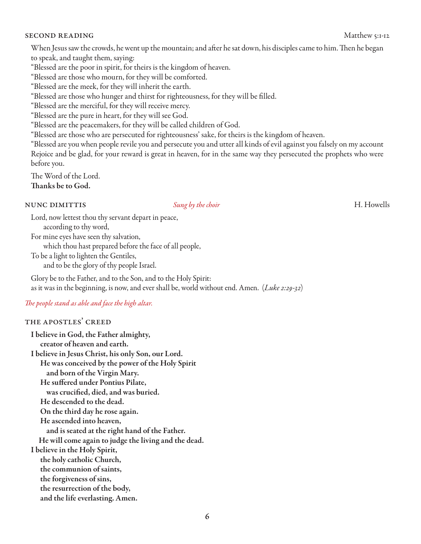### SECOND READING Matthew 5:1-12

When Jesus saw the crowds, he went up the mountain; and after he sat down, his disciples came to him. Then he began to speak, and taught them, saying:

"Blessed are the poor in spirit, for theirs is the kingdom of heaven.

"Blessed are those who mourn, for they will be comforted.

"Blessed are the meek, for they will inherit the earth.

"Blessed are those who hunger and thirst for righteousness, for they will be filled.

"Blessed are the merciful, for they will receive mercy.

"Blessed are the pure in heart, for they will see God.

"Blessed are the peacemakers, for they will be called children of God.

"Blessed are those who are persecuted for righteousness' sake, for theirs is the kingdom of heaven.

"Blessed are you when people revile you and persecute you and utter all kinds of evil against you falsely on my account Rejoice and be glad, for your reward is great in heaven, for in the same way they persecuted the prophets who were before you.

The Word of the Lord. Thanks be to God.

# nunc dimittis *Sung by the choir* **H. Howells**

Lord, now lettest thou thy servant depart in peace,

according to thy word,

For mine eyes have seen thy salvation,

which thou hast prepared before the face of all people,

To be a light to lighten the Gentiles,

and to be the glory of thy people Israel.

Glory be to the Father, and to the Son, and to the Holy Spirit: as it was in the beginning, is now, and ever shall be, world without end. Amen. (*Luke 2:29-32*)

# *The people stand as able and face the high altar.*

# the apostles' creed

I believe in God, the Father almighty, creator of heaven and earth. I believe in Jesus Christ, his only Son, our Lord. He was conceived by the power of the Holy Spirit and born of the Virgin Mary. He suffered under Pontius Pilate, was crucified, died, and was buried. He descended to the dead. On the third day he rose again. He ascended into heaven, and is seated at the right hand of the Father. He will come again to judge the living and the dead. I believe in the Holy Spirit, the holy catholic Church, the communion of saints, the forgiveness of sins, the resurrection of the body, and the life everlasting. Amen.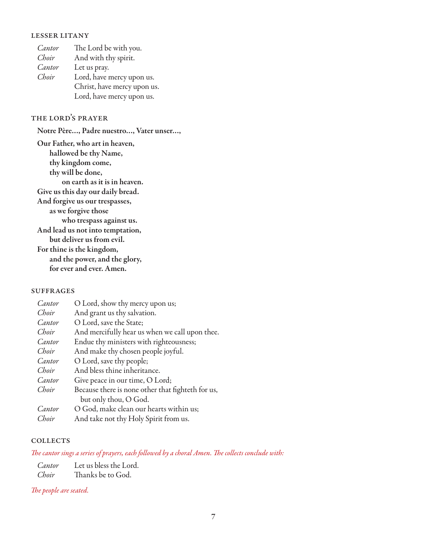# lesser litany

| Cantor | The Lord be with you.       |
|--------|-----------------------------|
| Choir  | And with thy spirit.        |
| Cantor | Let us pray.                |
| Choir  | Lord, have mercy upon us.   |
|        | Christ, have mercy upon us. |
|        | Lord, have mercy upon us.   |

# the lord's prayer

Notre Père…, Padre nuestro…, Vater unser…,

Our Father, who art in heaven, hallowed be thy Name, thy kingdom come, thy will be done, on earth as it is in heaven. Give us this day our daily bread. And forgive us our trespasses, as we forgive those who trespass against us. And lead us not into temptation, but deliver us from evil. For thine is the kingdom, and the power, and the glory, for ever and ever. Amen.

## **SUFFRAGES**

| Cantor | O Lord, show thy mercy upon us;                   |
|--------|---------------------------------------------------|
| Choir  | And grant us thy salvation.                       |
| Cantor | O Lord, save the State;                           |
| Choir  | And mercifully hear us when we call upon thee.    |
| Cantor | Endue thy ministers with righteousness;           |
| Choir  | And make thy chosen people joyful.                |
| Cantor | O Lord, save thy people;                          |
| Choir  | And bless thine inheritance.                      |
| Cantor | Give peace in our time, O Lord;                   |
| Choir  | Because there is none other that fighteth for us, |
|        | but only thou, O God.                             |
| Cantor | O God, make clean our hearts within us;           |
| Choir  | And take not thy Holy Spirit from us.             |
|        |                                                   |

### **COLLECTS**

*The cantor sings a series of prayers, each followed by a choral Amen. The collects conclude with:* 

*Cantor* Let us bless the Lord. Thanks be to God.

*The people are seated.*